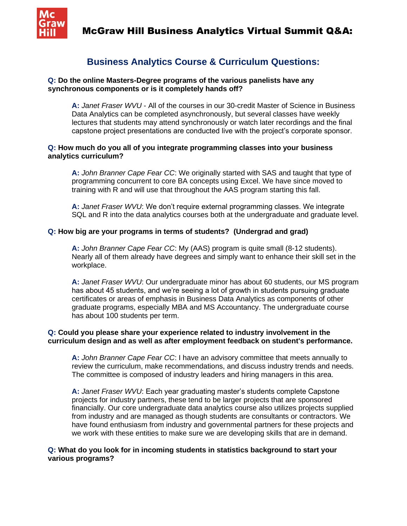

## **Business Analytics Course & Curriculum Questions:**

#### **Q: Do the online Masters-Degree programs of the various panelists have any synchronous components or is it completely hands off?**

**A:** *Janet Fraser WVU* - All of the courses in our 30-credit Master of Science in Business Data Analytics can be completed asynchronously, but several classes have weekly lectures that students may attend synchronously or watch later recordings and the final capstone project presentations are conducted live with the project's corporate sponsor.

## **Q: How much do you all of you integrate programming classes into your business analytics curriculum?**

**A:** *John Branner Cape Fear CC*: We originally started with SAS and taught that type of programming concurrent to core BA concepts using Excel. We have since moved to training with R and will use that throughout the AAS program starting this fall.

**A:** *Janet Fraser WVU*: We don't require external programming classes. We integrate SQL and R into the data analytics courses both at the undergraduate and graduate level.

## **Q: How big are your programs in terms of students? (Undergrad and grad)**

**A:** *John Branner Cape Fear CC*: My (AAS) program is quite small (8-12 students). Nearly all of them already have degrees and simply want to enhance their skill set in the workplace.

**A:** *Janet Fraser WVU*: Our undergraduate minor has about 60 students, our MS program has about 45 students, and we're seeing a lot of growth in students pursuing graduate certificates or areas of emphasis in Business Data Analytics as components of other graduate programs, especially MBA and MS Accountancy. The undergraduate course has about 100 students per term.

#### **Q: Could you please share your experience related to industry involvement in the curriculum design and as well as after employment feedback on student's performance.**

**A:** *John Branner Cape Fear CC*: I have an advisory committee that meets annually to review the curriculum, make recommendations, and discuss industry trends and needs. The committee is composed of industry leaders and hiring managers in this area.

**A:** *Janet Fraser WVU*: Each year graduating master's students complete Capstone projects for industry partners, these tend to be larger projects that are sponsored financially. Our core undergraduate data analytics course also utilizes projects supplied from industry and are managed as though students are consultants or contractors. We have found enthusiasm from industry and governmental partners for these projects and we work with these entities to make sure we are developing skills that are in demand.

## **Q: What do you look for in incoming students in statistics background to start your various programs?**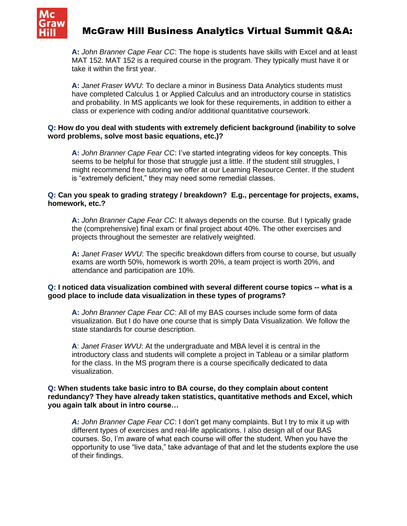

# McGraw Hill Business Analytics Virtual Summit Q&A:

**A:** *John Branner Cape Fear CC*: The hope is students have skills with Excel and at least MAT 152. MAT 152 is a required course in the program. They typically must have it or take it within the first year.

**A:** *Janet Fraser WVU*: To declare a minor in Business Data Analytics students must have completed Calculus 1 or Applied Calculus and an introductory course in statistics and probability. In MS applicants we look for these requirements, in addition to either a class or experience with coding and/or additional quantitative coursework.

#### **Q: How do you deal with students with extremely deficient background (inability to solve word problems, solve most basic equations, etc.)?**

**A:** *John Branner Cape Fear CC*: I've started integrating videos for key concepts. This seems to be helpful for those that struggle just a little. If the student still struggles, I might recommend free tutoring we offer at our Learning Resource Center. If the student is "extremely deficient," they may need some remedial classes.

#### **Q: Can you speak to grading strategy / breakdown? E.g., percentage for projects, exams, homework, etc.?**

**A:** *John Branner Cape Fear CC*: It always depends on the course. But I typically grade the (comprehensive) final exam or final project about 40%. The other exercises and projects throughout the semester are relatively weighted.

**A:** *Janet Fraser WVU*: The specific breakdown differs from course to course, but usually exams are worth 50%, homework is worth 20%, a team project is worth 20%, and attendance and participation are 10%.

## **Q: I noticed data visualization combined with several different course topics -- what is a good place to include data visualization in these types of programs?**

**A:** *John Branner Cape Fear CC*: All of my BAS courses include some form of data visualization. But I do have one course that is simply Data Visualization. We follow the state standards for course description.

**A**: *Janet Fraser WVU*: At the undergraduate and MBA level it is central in the introductory class and students will complete a project in Tableau or a similar platform for the class. In the MS program there is a course specifically dedicated to data visualization.

#### **Q: When students take basic intro to BA course, do they complain about content redundancy? They have already taken statistics, quantitative methods and Excel, which you again talk about in intro course…**

*A: John Branner Cape Fear CC*: I don't get many complaints. But I try to mix it up with different types of exercises and real-life applications. I also design all of our BAS courses. So, I'm aware of what each course will offer the student. When you have the opportunity to use "live data," take advantage of that and let the students explore the use of their findings.